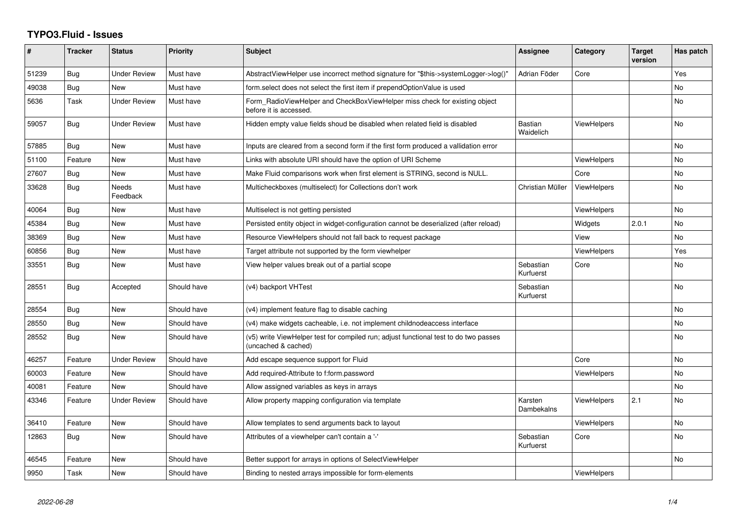## **TYPO3.Fluid - Issues**

| #     | <b>Tracker</b> | <b>Status</b>       | <b>Priority</b> | <b>Subject</b>                                                                                              | <b>Assignee</b>        | Category           | <b>Target</b><br>version | Has patch |
|-------|----------------|---------------------|-----------------|-------------------------------------------------------------------------------------------------------------|------------------------|--------------------|--------------------------|-----------|
| 51239 | Bug            | <b>Under Review</b> | Must have       | AbstractViewHelper use incorrect method signature for "\$this->systemLogger->log()"                         | Adrian Föder           | Core               |                          | Yes       |
| 49038 | Bug            | New                 | Must have       | form.select does not select the first item if prependOptionValue is used                                    |                        |                    |                          | <b>No</b> |
| 5636  | Task           | <b>Under Review</b> | Must have       | Form_RadioViewHelper and CheckBoxViewHelper miss check for existing object<br>before it is accessed.        |                        |                    |                          | <b>No</b> |
| 59057 | Bug            | Under Review        | Must have       | Hidden empty value fields shoud be disabled when related field is disabled                                  | Bastian<br>Waidelich   | <b>ViewHelpers</b> |                          | <b>No</b> |
| 57885 | Bug            | New                 | Must have       | Inputs are cleared from a second form if the first form produced a vallidation error                        |                        |                    |                          | No        |
| 51100 | Feature        | <b>New</b>          | Must have       | Links with absolute URI should have the option of URI Scheme                                                |                        | <b>ViewHelpers</b> |                          | <b>No</b> |
| 27607 | <b>Bug</b>     | New                 | Must have       | Make Fluid comparisons work when first element is STRING, second is NULL.                                   |                        | Core               |                          | <b>No</b> |
| 33628 | Bug            | Needs<br>Feedback   | Must have       | Multicheckboxes (multiselect) for Collections don't work                                                    | Christian Müller       | <b>ViewHelpers</b> |                          | <b>No</b> |
| 40064 | Bug            | New                 | Must have       | Multiselect is not getting persisted                                                                        |                        | <b>ViewHelpers</b> |                          | No.       |
| 45384 | Bug            | New                 | Must have       | Persisted entity object in widget-configuration cannot be deserialized (after reload)                       |                        | Widgets            | 2.0.1                    | <b>No</b> |
| 38369 | Bug            | New                 | Must have       | Resource ViewHelpers should not fall back to request package                                                |                        | View               |                          | <b>No</b> |
| 60856 | Bug            | New                 | Must have       | Target attribute not supported by the form viewhelper                                                       |                        | ViewHelpers        |                          | Yes       |
| 33551 | Bug            | <b>New</b>          | Must have       | View helper values break out of a partial scope                                                             | Sebastian<br>Kurfuerst | Core               |                          | <b>No</b> |
| 28551 | Bug            | Accepted            | Should have     | (v4) backport VHTest                                                                                        | Sebastian<br>Kurfuerst |                    |                          | <b>No</b> |
| 28554 | Bug            | New                 | Should have     | (v4) implement feature flag to disable caching                                                              |                        |                    |                          | No        |
| 28550 | <b>Bug</b>     | New                 | Should have     | (v4) make widgets cacheable, i.e. not implement childnodeaccess interface                                   |                        |                    |                          | <b>No</b> |
| 28552 | <b>Bug</b>     | New                 | Should have     | (v5) write ViewHelper test for compiled run; adjust functional test to do two passes<br>(uncached & cached) |                        |                    |                          | No.       |
| 46257 | Feature        | Under Review        | Should have     | Add escape sequence support for Fluid                                                                       |                        | Core               |                          | No        |
| 60003 | Feature        | <b>New</b>          | Should have     | Add required-Attribute to f:form.password                                                                   |                        | <b>ViewHelpers</b> |                          | <b>No</b> |
| 40081 | Feature        | <b>New</b>          | Should have     | Allow assigned variables as keys in arrays                                                                  |                        |                    |                          | <b>No</b> |
| 43346 | Feature        | <b>Under Review</b> | Should have     | Allow property mapping configuration via template                                                           | Karsten<br>Dambekalns  | ViewHelpers        | 2.1                      | No.       |
| 36410 | Feature        | New                 | Should have     | Allow templates to send arguments back to layout                                                            |                        | <b>ViewHelpers</b> |                          | No        |
| 12863 | Bug            | New                 | Should have     | Attributes of a viewhelper can't contain a '-'                                                              | Sebastian<br>Kurfuerst | Core               |                          | No.       |
| 46545 | Feature        | New                 | Should have     | Better support for arrays in options of SelectViewHelper                                                    |                        |                    |                          | No        |
| 9950  | Task           | New                 | Should have     | Binding to nested arrays impossible for form-elements                                                       |                        | ViewHelpers        |                          |           |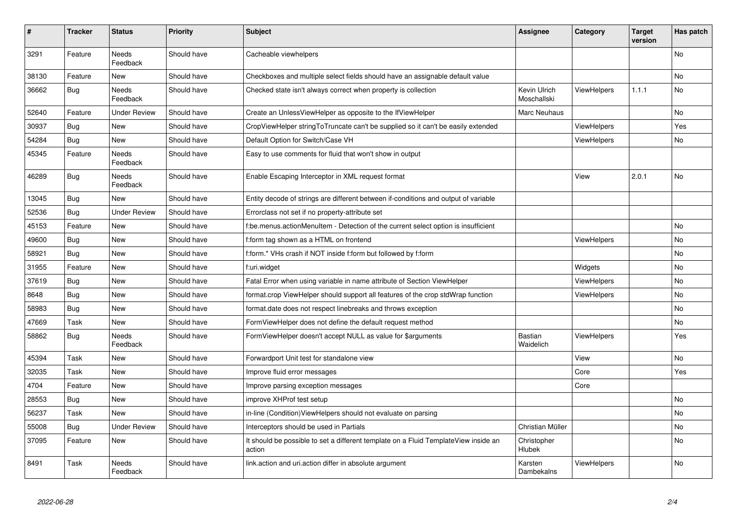| #     | <b>Tracker</b> | <b>Status</b>            | <b>Priority</b> | <b>Subject</b>                                                                                | Assignee                    | Category           | <b>Target</b><br>version | Has patch |
|-------|----------------|--------------------------|-----------------|-----------------------------------------------------------------------------------------------|-----------------------------|--------------------|--------------------------|-----------|
| 3291  | Feature        | <b>Needs</b><br>Feedback | Should have     | Cacheable viewhelpers                                                                         |                             |                    |                          | <b>No</b> |
| 38130 | Feature        | <b>New</b>               | Should have     | Checkboxes and multiple select fields should have an assignable default value                 |                             |                    |                          | No        |
| 36662 | Bug            | <b>Needs</b><br>Feedback | Should have     | Checked state isn't always correct when property is collection                                | Kevin Ulrich<br>Moschallski | <b>ViewHelpers</b> | 1.1.1                    | No        |
| 52640 | Feature        | <b>Under Review</b>      | Should have     | Create an UnlessViewHelper as opposite to the IfViewHelper                                    | Marc Neuhaus                |                    |                          | No        |
| 30937 | Bug            | New                      | Should have     | CropViewHelper stringToTruncate can't be supplied so it can't be easily extended              |                             | <b>ViewHelpers</b> |                          | Yes       |
| 54284 | Bug            | New                      | Should have     | Default Option for Switch/Case VH                                                             |                             | ViewHelpers        |                          | No        |
| 45345 | Feature        | <b>Needs</b><br>Feedback | Should have     | Easy to use comments for fluid that won't show in output                                      |                             |                    |                          |           |
| 46289 | Bug            | Needs<br>Feedback        | Should have     | Enable Escaping Interceptor in XML request format                                             |                             | View               | 2.0.1                    | No        |
| 13045 | Bug            | New                      | Should have     | Entity decode of strings are different between if-conditions and output of variable           |                             |                    |                          |           |
| 52536 | Bug            | <b>Under Review</b>      | Should have     | Errorclass not set if no property-attribute set                                               |                             |                    |                          |           |
| 45153 | Feature        | New                      | Should have     | f:be.menus.actionMenuItem - Detection of the current select option is insufficient            |                             |                    |                          | No        |
| 49600 | Bug            | New                      | Should have     | f:form tag shown as a HTML on frontend                                                        |                             | <b>ViewHelpers</b> |                          | No        |
| 58921 | Bug            | New                      | Should have     | f:form.* VHs crash if NOT inside f:form but followed by f:form                                |                             |                    |                          | No        |
| 31955 | Feature        | New                      | Should have     | f:uri.widget                                                                                  |                             | Widgets            |                          | No        |
| 37619 | Bug            | New                      | Should have     | Fatal Error when using variable in name attribute of Section ViewHelper                       |                             | <b>ViewHelpers</b> |                          | No        |
| 8648  | Bug            | New                      | Should have     | format.crop ViewHelper should support all features of the crop stdWrap function               |                             | ViewHelpers        |                          | No.       |
| 58983 | <b>Bug</b>     | New                      | Should have     | format.date does not respect linebreaks and throws exception                                  |                             |                    |                          | No        |
| 47669 | Task           | New                      | Should have     | FormViewHelper does not define the default request method                                     |                             |                    |                          | No        |
| 58862 | Bug            | Needs<br>Feedback        | Should have     | FormViewHelper doesn't accept NULL as value for \$arguments                                   | <b>Bastian</b><br>Waidelich | ViewHelpers        |                          | Yes       |
| 45394 | Task           | New                      | Should have     | Forwardport Unit test for standalone view                                                     |                             | View               |                          | No        |
| 32035 | Task           | <b>New</b>               | Should have     | Improve fluid error messages                                                                  |                             | Core               |                          | Yes       |
| 4704  | Feature        | New                      | Should have     | Improve parsing exception messages                                                            |                             | Core               |                          |           |
| 28553 | Bug            | New                      | Should have     | improve XHProf test setup                                                                     |                             |                    |                          | No        |
| 56237 | Task           | <b>New</b>               | Should have     | in-line (Condition)ViewHelpers should not evaluate on parsing                                 |                             |                    |                          | No.       |
| 55008 | Bug            | <b>Under Review</b>      | Should have     | Interceptors should be used in Partials                                                       | Christian Müller            |                    |                          | No        |
| 37095 | Feature        | New                      | Should have     | It should be possible to set a different template on a Fluid TemplateView inside an<br>action | Christopher<br>Hlubek       |                    |                          | No        |
| 8491  | Task           | Needs<br>Feedback        | Should have     | link.action and uri.action differ in absolute argument                                        | Karsten<br>Dambekalns       | <b>ViewHelpers</b> |                          | No        |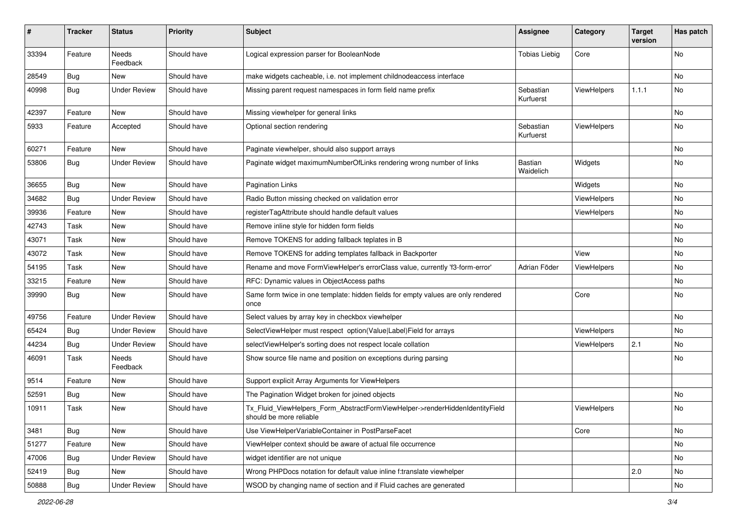| #     | <b>Tracker</b> | <b>Status</b>            | <b>Priority</b> | <b>Subject</b>                                                                                         | <b>Assignee</b>        | Category           | <b>Target</b><br>version | Has patch |
|-------|----------------|--------------------------|-----------------|--------------------------------------------------------------------------------------------------------|------------------------|--------------------|--------------------------|-----------|
| 33394 | Feature        | <b>Needs</b><br>Feedback | Should have     | Logical expression parser for BooleanNode                                                              | <b>Tobias Liebig</b>   | Core               |                          | <b>No</b> |
| 28549 | <b>Bug</b>     | New                      | Should have     | make widgets cacheable, i.e. not implement childnodeaccess interface                                   |                        |                    |                          | No        |
| 40998 | Bug            | <b>Under Review</b>      | Should have     | Missing parent request namespaces in form field name prefix                                            | Sebastian<br>Kurfuerst | ViewHelpers        | 1.1.1                    | No        |
| 42397 | Feature        | <b>New</b>               | Should have     | Missing viewhelper for general links                                                                   |                        |                    |                          | No        |
| 5933  | Feature        | Accepted                 | Should have     | Optional section rendering                                                                             | Sebastian<br>Kurfuerst | ViewHelpers        |                          | No        |
| 60271 | Feature        | New                      | Should have     | Paginate viewhelper, should also support arrays                                                        |                        |                    |                          | No        |
| 53806 | Bug            | <b>Under Review</b>      | Should have     | Paginate widget maximumNumberOfLinks rendering wrong number of links                                   | Bastian<br>Waidelich   | Widgets            |                          | No        |
| 36655 | Bug            | New                      | Should have     | <b>Pagination Links</b>                                                                                |                        | Widgets            |                          | No        |
| 34682 | Bug            | <b>Under Review</b>      | Should have     | Radio Button missing checked on validation error                                                       |                        | <b>ViewHelpers</b> |                          | No        |
| 39936 | Feature        | New                      | Should have     | registerTagAttribute should handle default values                                                      |                        | ViewHelpers        |                          | No        |
| 42743 | Task           | New                      | Should have     | Remove inline style for hidden form fields                                                             |                        |                    |                          | No        |
| 43071 | Task           | New                      | Should have     | Remove TOKENS for adding fallback teplates in B                                                        |                        |                    |                          | No        |
| 43072 | Task           | New                      | Should have     | Remove TOKENS for adding templates fallback in Backporter                                              |                        | View               |                          | No        |
| 54195 | Task           | New                      | Should have     | Rename and move FormViewHelper's errorClass value, currently 'f3-form-error'                           | Adrian Föder           | ViewHelpers        |                          | No        |
| 33215 | Feature        | New                      | Should have     | RFC: Dynamic values in ObjectAccess paths                                                              |                        |                    |                          | No        |
| 39990 | Bug            | New                      | Should have     | Same form twice in one template: hidden fields for empty values are only rendered<br>once              |                        | Core               |                          | No        |
| 49756 | Feature        | <b>Under Review</b>      | Should have     | Select values by array key in checkbox viewhelper                                                      |                        |                    |                          | <b>No</b> |
| 65424 | Bug            | <b>Under Review</b>      | Should have     | SelectViewHelper must respect option(Value Label)Field for arrays                                      |                        | ViewHelpers        |                          | No        |
| 44234 | Bug            | <b>Under Review</b>      | Should have     | selectViewHelper's sorting does not respect locale collation                                           |                        | ViewHelpers        | 2.1                      | No        |
| 46091 | Task           | Needs<br>Feedback        | Should have     | Show source file name and position on exceptions during parsing                                        |                        |                    |                          | No        |
| 9514  | Feature        | New                      | Should have     | Support explicit Array Arguments for ViewHelpers                                                       |                        |                    |                          |           |
| 52591 | Bug            | New                      | Should have     | The Pagination Widget broken for joined objects                                                        |                        |                    |                          | No        |
| 10911 | Task           | New                      | Should have     | Tx_Fluid_ViewHelpers_Form_AbstractFormViewHelper->renderHiddenIdentityField<br>should be more reliable |                        | ViewHelpers        |                          | No        |
| 3481  | Bug            | New                      | Should have     | Use ViewHelperVariableContainer in PostParseFacet                                                      |                        | Core               |                          | No        |
| 51277 | Feature        | New                      | Should have     | ViewHelper context should be aware of actual file occurrence                                           |                        |                    |                          | No        |
| 47006 | Bug            | <b>Under Review</b>      | Should have     | widget identifier are not unique                                                                       |                        |                    |                          | No        |
| 52419 | <b>Bug</b>     | New                      | Should have     | Wrong PHPDocs notation for default value inline f:translate viewhelper                                 |                        |                    | 2.0                      | No        |
| 50888 | Bug            | <b>Under Review</b>      | Should have     | WSOD by changing name of section and if Fluid caches are generated                                     |                        |                    |                          | No        |